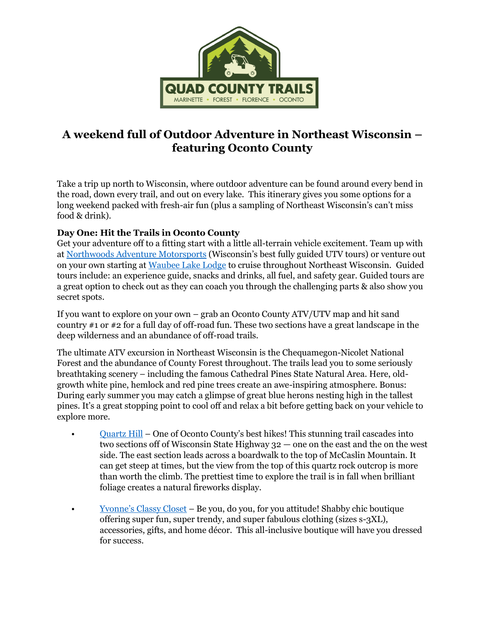

## **A weekend full of Outdoor Adventure in Northeast Wisconsin – featuring Oconto County**

Take a trip up north to Wisconsin, where outdoor adventure can be found around every bend in the road, down every trail, and out on every lake. This itinerary gives you some options for a long weekend packed with fresh-air fun (plus a sampling of Northeast Wisconsin's can't miss food & drink).

## **Day One: Hit the Trails in Oconto County**

Get your adventure off to a fitting start with a little all-terrain vehicle excitement. Team up with at [Northwoods Adventure Motorsports](https://northwoodspowersportsadventure.godaddysites.com/) (Wisconsin's best fully guided UTV tours) or venture out on your own starting at [Waubee Lake Lodge](https://www.waubeelodge.com/) to cruise throughout Northeast Wisconsin. Guided tours include: an experience guide, snacks and drinks, all fuel, and safety gear. Guided tours are a great option to check out as they can coach you through the challenging parts & also show you secret spots.

If you want to explore on your own – grab an Oconto County ATV/UTV map and hit sand country #1 or #2 for a full day of off-road fun. These two sections have a great landscape in the deep wilderness and an abundance of off-road trails.

The ultimate ATV excursion in Northeast Wisconsin is the Chequamegon-Nicolet National Forest and the abundance of County Forest throughout. The trails lead you to some seriously breathtaking scenery – including the famous Cathedral Pines State Natural Area. Here, oldgrowth white pine, hemlock and red pine trees create an awe-inspiring atmosphere. Bonus: During early summer you may catch a glimpse of great blue herons nesting high in the tallest pines. It's a great stopping point to cool off and relax a bit before getting back on your vehicle to explore more.

- [Quartz Hill](https://www.fs.usda.gov/visit/destination/quartz-hill-trail) One of Oconto County's best hikes! This stunning trail cascades into two sections off of Wisconsin State Highway 32 — one on the east and the on the west side. The east section leads across a boardwalk to the top of McCaslin Mountain. It can get steep at times, but the view from the top of this quartz rock outcrop is more than worth the climb. The prettiest time to explore the trail is in fall when brilliant foliage creates a natural fireworks display.
- Yvonne's [Classy Closet](https://www.facebook.com/yvonnesclassycloset/) Be you, do you, for you attitude! Shabby chic boutique offering super fun, super trendy, and super fabulous clothing (sizes s-3XL), accessories, gifts, and home décor. This all-inclusive boutique will have you dressed for success.